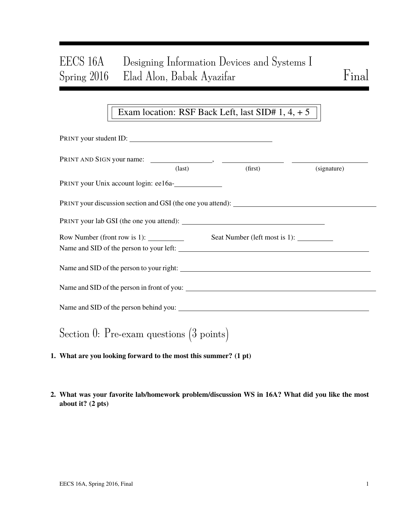# EECS 16A Designing Information Devices and Systems I Spring 2016 Elad Alon, Babak Ayazifar Final

## Exam location: RSF Back Left, last SID# 1, 4, + 5

| PRINT your student ID:                                                                                                                                                                                                                                                                                                                                                                                    |                 |         |             |
|-----------------------------------------------------------------------------------------------------------------------------------------------------------------------------------------------------------------------------------------------------------------------------------------------------------------------------------------------------------------------------------------------------------|-----------------|---------|-------------|
|                                                                                                                                                                                                                                                                                                                                                                                                           | $\text{(last)}$ | (first) |             |
| PRINT your Unix account login: ee16a-                                                                                                                                                                                                                                                                                                                                                                     |                 |         | (signature) |
| PRINT your discussion section and GSI (the one you attend): _____________________                                                                                                                                                                                                                                                                                                                         |                 |         |             |
|                                                                                                                                                                                                                                                                                                                                                                                                           |                 |         |             |
| Row Number (front row is 1): $\frac{1}{\sqrt{1-\frac{1}{\sqrt{1-\frac{1}{\sqrt{1-\frac{1}{\sqrt{1-\frac{1}{\sqrt{1-\frac{1}{\sqrt{1-\frac{1}{\sqrt{1-\frac{1}{\sqrt{1-\frac{1}{\sqrt{1-\frac{1}{\sqrt{1-\frac{1}{\sqrt{1-\frac{1}{\sqrt{1-\frac{1}{\sqrt{1-\frac{1}{\sqrt{1-\frac{1}{\sqrt{1-\frac{1}{\sqrt{1-\frac{1}{\sqrt{1-\frac{1}{\sqrt{1-\frac{1}{\sqrt{1-\frac{1}{\sqrt{1-\frac{1}{\sqrt{1-\frac$ |                 |         |             |
|                                                                                                                                                                                                                                                                                                                                                                                                           |                 |         |             |
|                                                                                                                                                                                                                                                                                                                                                                                                           |                 |         |             |
|                                                                                                                                                                                                                                                                                                                                                                                                           |                 |         |             |
| Section 0: Pre-exam questions $(3 \text{ points})$                                                                                                                                                                                                                                                                                                                                                        |                 |         |             |

- 1. What are you looking forward to the most this summer? (1 pt)
- 2. What was your favorite lab/homework problem/discussion WS in 16A? What did you like the most about it? (2 pts)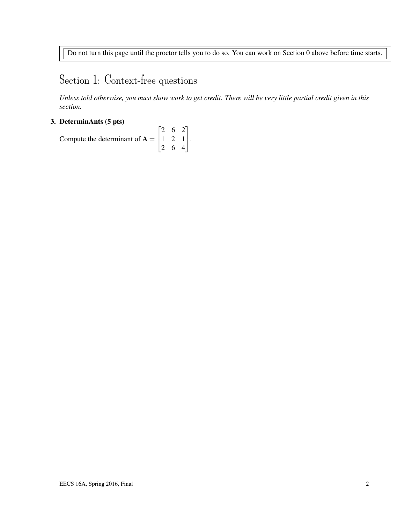Do not turn this page until the proctor tells you to do so. You can work on Section 0 above before time starts.

# Section 1: Context-free questions

*Unless told otherwise, you must show work to get credit. There will be very little partial credit given in this section.*

#### 3. DeterminAnts (5 pts)

Compute the determinant of  $A =$  $\sqrt{ }$  $\overline{1}$ 2 6 2 1 2 1 2 6 4 1  $\vert \cdot$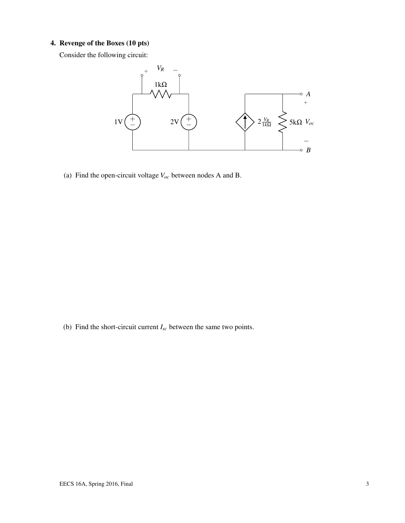### 4. Revenge of the Boxes (10 pts)

Consider the following circuit:



(a) Find the open-circuit voltage *Voc* between nodes A and B.

(b) Find the short-circuit current *Isc* between the same two points.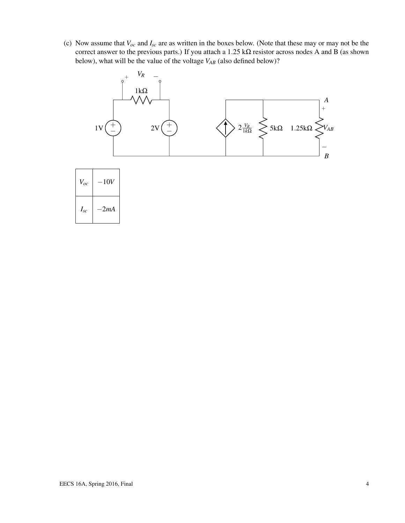(c) Now assume that *Voc* and *Isc* are as written in the boxes below. (Note that these may or may not be the correct answer to the previous parts.) If you attach a  $1.25 \text{ k}\Omega$  resistor across nodes A and B (as shown below), what will be the value of the voltage *VAB* (also defined below)?

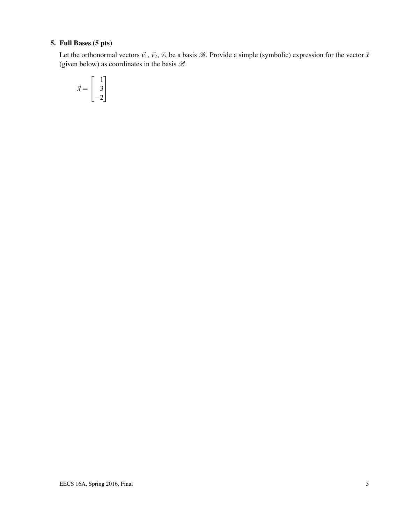## 5. Full Bases (5 pts)

Let the orthonormal vectors  $\vec{v_1}$ ,  $\vec{v_2}$ ,  $\vec{v_3}$  be a basis  $\mathcal{B}$ . Provide a simple (symbolic) expression for the vector  $\vec{x}$ (given below) as coordinates in the basis  $\mathcal{B}$ .

$$
\vec{x} = \begin{bmatrix} 1 \\ 3 \\ -2 \end{bmatrix}
$$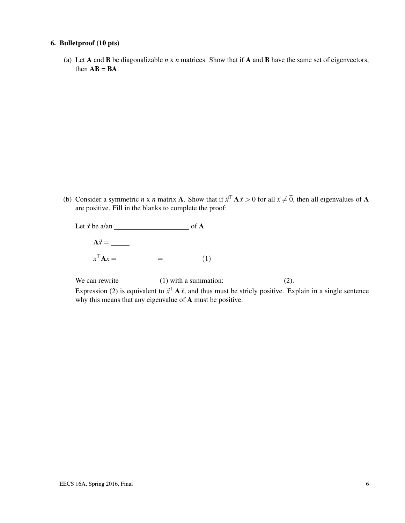#### 6. Bulletproof (10 pts)

(a) Let A and B be diagonalizable *n* x *n* matrices. Show that if A and B have the same set of eigenvectors, then  $AB = BA$ .

(b) Consider a symmetric *n* x *n* matrix **A**. Show that if  $\vec{x}^T \mathbf{A} \vec{x} > 0$  for all  $\vec{x} \neq \vec{0}$ , then all eigenvalues of **A** are positive. Fill in the blanks to complete the proof:

Let  $\vec{x}$  be a/an  $\overline{\phantom{a}}$  of A. A~*x* = *x* <sup>&</sup>gt;A*x* = = (1)

We can rewrite  $(1)$  with a summation:  $(2)$ . Expression (2) is equivalent to  $\vec{x}^{\top} A \vec{x}$ , and thus must be stricly positive. Explain in a single sentence why this means that any eigenvalue of A must be positive.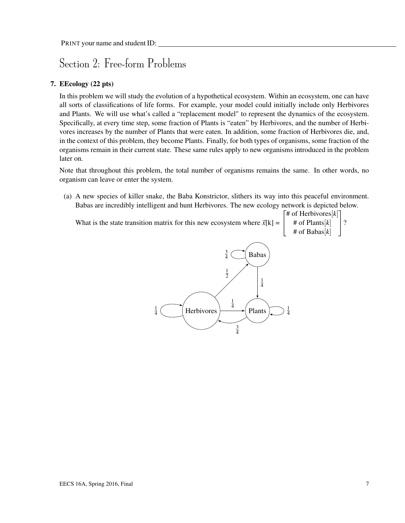# Section 2: Free-form Problems

### 7. EEcology (22 pts)

In this problem we will study the evolution of a hypothetical ecosystem. Within an ecosystem, one can have all sorts of classifications of life forms. For example, your model could initially include only Herbivores and Plants. We will use what's called a "replacement model" to represent the dynamics of the ecosystem. Specifically, at every time step, some fraction of Plants is "eaten" by Herbivores, and the number of Herbivores increases by the number of Plants that were eaten. In addition, some fraction of Herbivores die, and, in the context of this problem, they become Plants. Finally, for both types of organisms, some fraction of the organisms remain in their current state. These same rules apply to new organisms introduced in the problem later on.

Note that throughout this problem, the total number of organisms remains the same. In other words, no organism can leave or enter the system.

(a) A new species of killer snake, the Baba Konstrictor, slithers its way into this peaceful environment. Babas are incredibly intelligent and hunt Herbivores. The new ecology network is depicted below.

What is the state transition matrix for this new ecosystem where  $\vec{x}[k] = \begin{bmatrix} 1 \\ 1 \end{bmatrix}$  $\lceil$  # of Herbivores $[k]$ # of Plants[*k*] # of Babas[*k*] ?

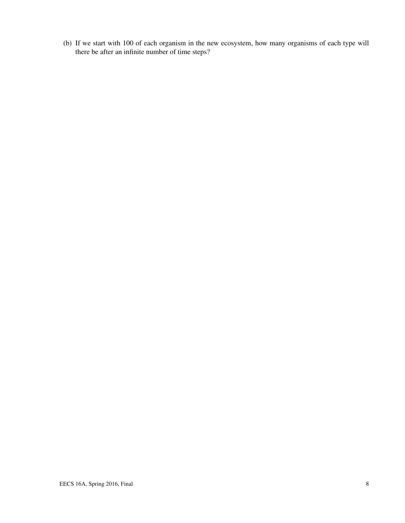(b) If we start with 100 of each organism in the new ecosystem, how many organisms of each type will there be after an infinite number of time steps?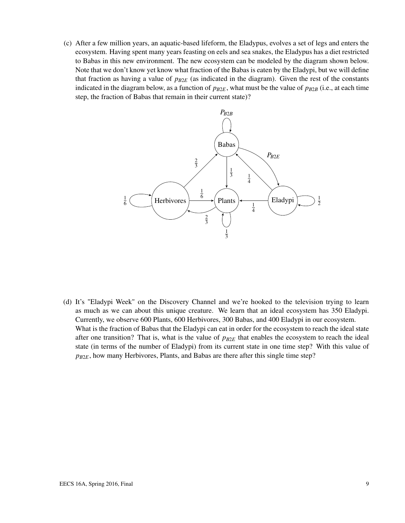(c) After a few million years, an aquatic-based lifeform, the Eladypus, evolves a set of legs and enters the ecosystem. Having spent many years feasting on eels and sea snakes, the Eladypus has a diet restricted to Babas in this new environment. The new ecosystem can be modeled by the diagram shown below. Note that we don't know yet know what fraction of the Babas is eaten by the Eladypi, but we will define that fraction as having a value of  $p_{B2E}$  (as indicated in the diagram). Given the rest of the constants indicated in the diagram below, as a function of  $p_{B2E}$ , what must be the value of  $p_{B2B}$  (i.e., at each time step, the fraction of Babas that remain in their current state)?



(d) It's "Eladypi Week" on the Discovery Channel and we're hooked to the television trying to learn as much as we can about this unique creature. We learn that an ideal ecosystem has 350 Eladypi. Currently, we observe 600 Plants, 600 Herbivores, 300 Babas, and 400 Eladypi in our ecosystem. What is the fraction of Babas that the Eladypi can eat in order for the ecosystem to reach the ideal state after one transition? That is, what is the value of  $p_{B2E}$  that enables the ecosystem to reach the ideal state (in terms of the number of Eladypi) from its current state in one time step? With this value of *pB*2*E*, how many Herbivores, Plants, and Babas are there after this single time step?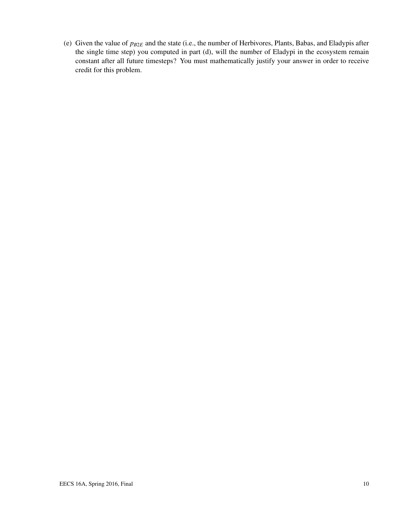(e) Given the value of *pB*2*<sup>E</sup>* and the state (i.e., the number of Herbivores, Plants, Babas, and Eladypis after the single time step) you computed in part (d), will the number of Eladypi in the ecosystem remain constant after all future timesteps? You must mathematically justify your answer in order to receive credit for this problem.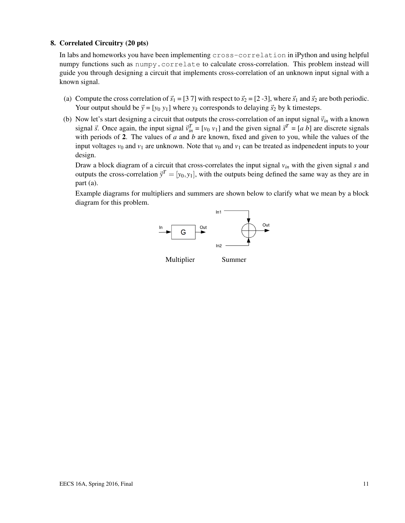#### 8. Correlated Circuitry (20 pts)

In labs and homeworks you have been implementing cross-correlation in iPython and using helpful numpy functions such as  $\text{number}$ . correlate to calculate cross-correlation. This problem instead will guide you through designing a circuit that implements cross-correlation of an unknown input signal with a known signal.

- (a) Compute the cross correlation of  $\vec{s}_1 = [3 7]$  with respect to  $\vec{s}_2 = [2 -3]$ , where  $\vec{s}_1$  and  $\vec{s}_2$  are both periodic. Your output should be  $\vec{y} = [y_0 y_1]$  where  $y_k$  corresponds to delaying  $\vec{s}_2$  by k timesteps.
- (b) Now let's start designing a circuit that outputs the cross-correlation of an input signal  $\vec{v}_{in}$  with a known signal  $\vec{s}$ . Once again, the input signal  $\vec{v}_{in}^T = [v_0 \ v_1]$  and the given signal  $\vec{s}^T = [a \ b]$  are discrete signals with periods of 2. The values of *a* and *b* are known, fixed and given to you, while the values of the input voltages  $v_0$  and  $v_1$  are unknown. Note that  $v_0$  and  $v_1$  can be treated as indpenedent inputs to your design.

Draw a block diagram of a circuit that cross-correlates the input signal *vin* with the given signal *s* and outputs the cross-correlation  $\vec{y}^T = [y_0, y_1]$ , with the outputs being defined the same way as they are in part (a).

Example diagrams for multipliers and summers are shown below to clarify what we mean by a block diagram for this problem.



EECS 16A, Spring 2016, Final 11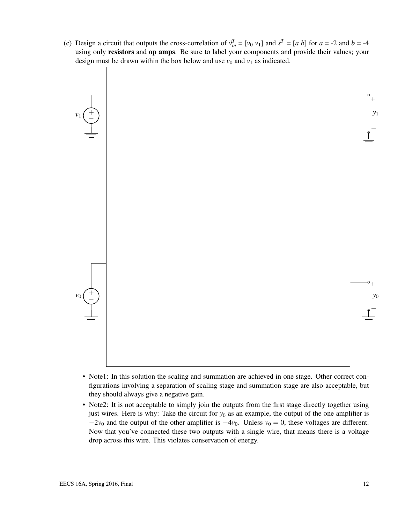(c) Design a circuit that outputs the cross-correlation of  $\vec{v}_{in}^T = [v_0 \ v_1]$  and  $\vec{s}^T = [a \ b]$  for  $a = -2$  and  $b = -4$ using only resistors and op amps. Be sure to label your components and provide their values; your design must be drawn within the box below and use  $v_0$  and  $v_1$  as indicated.



- Note1: In this solution the scaling and summation are achieved in one stage. Other correct configurations involving a separation of scaling stage and summation stage are also acceptable, but they should always give a negative gain.
- Note2: It is not acceptable to simply join the outputs from the first stage directly together using just wires. Here is why: Take the circuit for *y*<sup>0</sup> as an example, the output of the one amplifier is  $-2v_0$  and the output of the other amplifier is  $-4v_0$ . Unless  $v_0 = 0$ , these voltages are different. Now that you've connected these two outputs with a single wire, that means there is a voltage drop across this wire. This violates conservation of energy.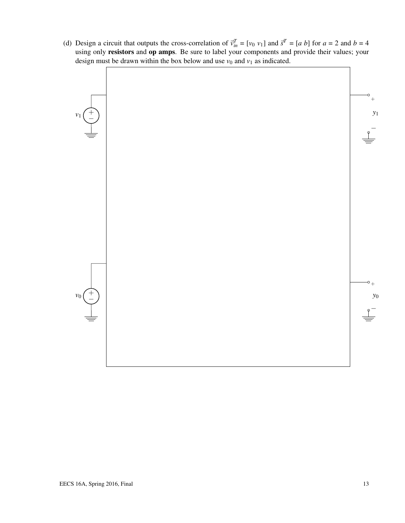(d) Design a circuit that outputs the cross-correlation of  $\vec{v}_{in}^T = [v_0 \ v_1]$  and  $\vec{s}^T = [a \ b]$  for  $a = 2$  and  $b = 4$ using only resistors and op amps. Be sure to label your components and provide their values; your design must be drawn within the box below and use  $v_0$  and  $v_1$  as indicated.

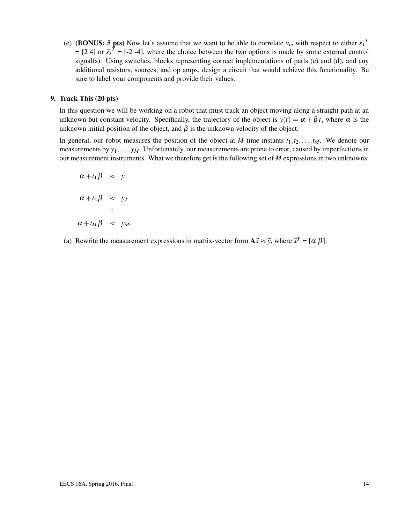(e) (BONUS: 5 pts) Now let's assume that we want to be able to correlate  $v_{in}$  with respect to either  $\vec{s_1}^T$  $=[2 4]$  or  $\vec{s_2}^T = [-2 -4]$ , where the choice between the two options is made by some external control signal(s). Using switches, blocks representing correct implementations of parts (c) and (d), and any additional resistors, sources, and op amps, design a circuit that would achieve this functionality. Be sure to label your components and provide their values.

#### 9. Track This (20 pts)

In this question we will be working on a robot that must track an object moving along a straight path at an unknown but constant velocity. Specifically, the trajectory of the object is  $y(t) = \alpha + \beta t$ , where  $\alpha$  is the unknown initial position of the object, and  $\beta$  is the unknown velocity of the object.

In general, our robot measures the position of the object at *M* time instants  $t_1, t_2, \ldots, t_M$ . We denote our measurements by  $y_1, \ldots, y_M$ . Unfortunately, our measurements are prone to error, caused by imperfections in our measurement instruments. What we therefore get is the following set of *M* expressions in two unknowns:

$$
\alpha + t_1 \beta \approx y_1
$$
  
\n
$$
\alpha + t_2 \beta \approx y_2
$$
  
\n:  
\n
$$
\alpha + t_M \beta \approx y_M.
$$

(a) Rewrite the measurement expressions in matrix-vector form  $A\vec{x} \approx \vec{y}$ , where  $\vec{x}^T = [\alpha \beta]$ .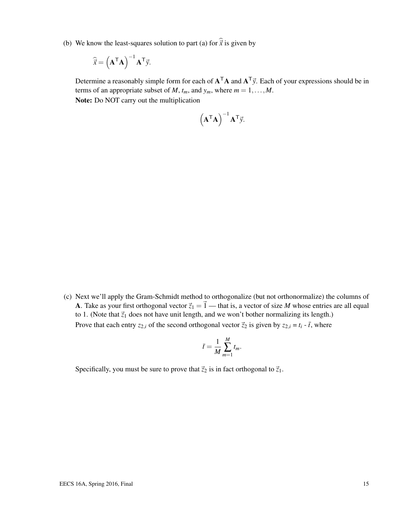(b) We know the least-squares solution to part (a) for  $\hat{\vec{x}}$  is given by

$$
\widehat{\vec{x}} = \left(\mathbf{A}^{\mathsf{T}} \mathbf{A}\right)^{-1} \mathbf{A}^{\mathsf{T}} \vec{y}.
$$

Determine a reasonably simple form for each of  $A<sup>T</sup>A$  and  $A<sup>T</sup>y$ . Each of your expressions should be in terms of an appropriate subset of *M*,  $t_m$ , and  $y_m$ , where  $m = 1, \ldots, M$ . Note: Do NOT carry out the multiplication

$$
\left(\mathbf{A}^{\mathsf{T}}\mathbf{A}\right)^{-1}\mathbf{A}^{\mathsf{T}}\vec{y}.
$$

(c) Next we'll apply the Gram-Schmidt method to orthogonalize (but not orthonormalize) the columns of A. Take as your first orthogonal vector  $\vec{z}_1 = \vec{1}$  — that is, a vector of size *M* whose entries are all equal to 1. (Note that  $\vec{z}_1$  does not have unit length, and we won't bother normalizing its length.) Prove that each entry  $z_{2,i}$  of the second orthogonal vector  $\vec{z}_2$  is given by  $z_{2,i} = t_i - \vec{t}$ , where

$$
\bar{t} = \frac{1}{M} \sum_{m=1}^{M} t_m.
$$

Specifically, you must be sure to prove that  $\vec{z}_2$  is in fact orthogonal to  $\vec{z}_1$ .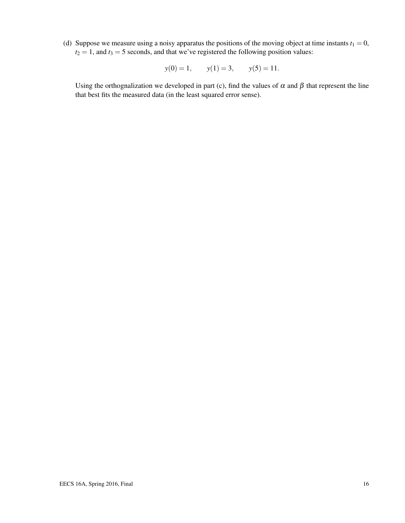(d) Suppose we measure using a noisy apparatus the positions of the moving object at time instants  $t_1 = 0$ ,  $t_2 = 1$ , and  $t_3 = 5$  seconds, and that we've registered the following position values:

$$
y(0) = 1,
$$
  $y(1) = 3,$   $y(5) = 11.$ 

Using the orthognalization we developed in part (c), find the values of  $\alpha$  and  $\beta$  that represent the line that best fits the measured data (in the least squared error sense).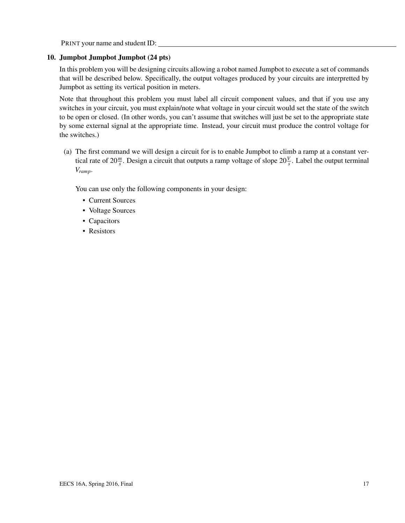PRINT your name and student ID:

#### 10. Jumpbot Jumpbot Jumpbot (24 pts)

In this problem you will be designing circuits allowing a robot named Jumpbot to execute a set of commands that will be described below. Specifically, the output voltages produced by your circuits are interpretted by Jumpbot as setting its vertical position in meters.

Note that throughout this problem you must label all circuit component values, and that if you use any switches in your circuit, you must explain/note what voltage in your circuit would set the state of the switch to be open or closed. (In other words, you can't assume that switches will just be set to the appropriate state by some external signal at the appropriate time. Instead, your circuit must produce the control voltage for the switches.)

(a) The first command we will design a circuit for is to enable Jumpbot to climb a ramp at a constant vertical rate of  $20 \frac{m}{s}$ . Design a circuit that outputs a ramp voltage of slope  $20 \frac{V}{s}$ . Label the output terminal *Vramp*.

You can use only the following components in your design:

- Current Sources
- Voltage Sources
- Capacitors
- Resistors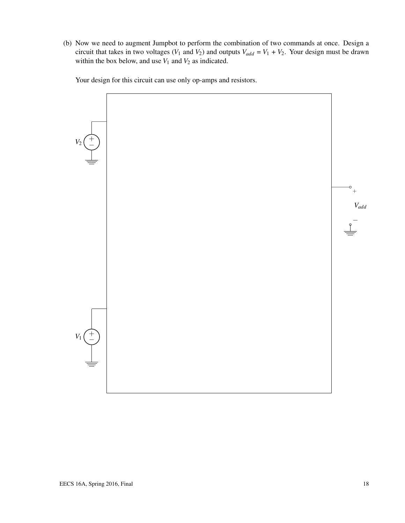(b) Now we need to augment Jumpbot to perform the combination of two commands at once. Design a circuit that takes in two voltages ( $V_1$  and  $V_2$ ) and outputs  $V_{add} = V_1 + V_2$ . Your design must be drawn within the box below, and use  $V_1$  and  $V_2$  as indicated.

Your design for this circuit can use only op-amps and resistors.

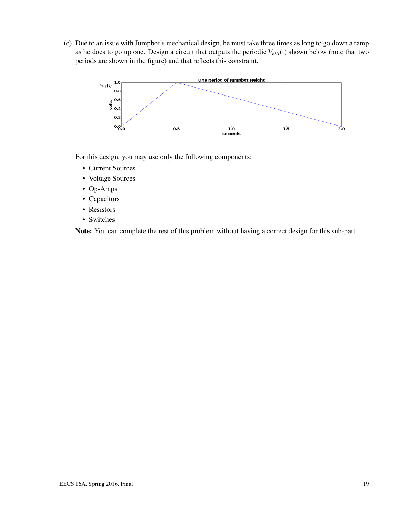(c) Due to an issue with Jumpbot's mechanical design, he must take three times as long to go down a ramp as he does to go up one. Design a circuit that outputs the periodic *Vhill*(t) shown below (note that two periods are shown in the figure) and that reflects this constraint.



For this design, you may use only the following components:

- Current Sources
- Voltage Sources
- Op-Amps
- Capacitors
- Resistors
- Switches

Note: You can complete the rest of this problem without having a correct design for this sub-part.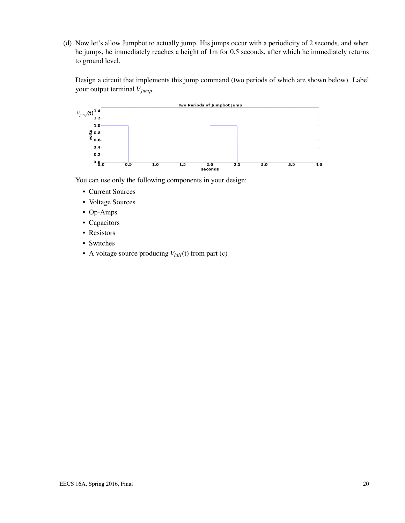(d) Now let's allow Jumpbot to actually jump. His jumps occur with a periodicity of 2 seconds, and when he jumps, he immediately reaches a height of 1m for 0.5 seconds, after which he immediately returns to ground level.

Design a circuit that implements this jump command (two periods of which are shown below). Label your output terminal *Vjump*.



You can use only the following components in your design:

- Current Sources
- Voltage Sources
- Op-Amps
- Capacitors
- Resistors
- Switches
- A voltage source producing *Vhill*(t) from part (c)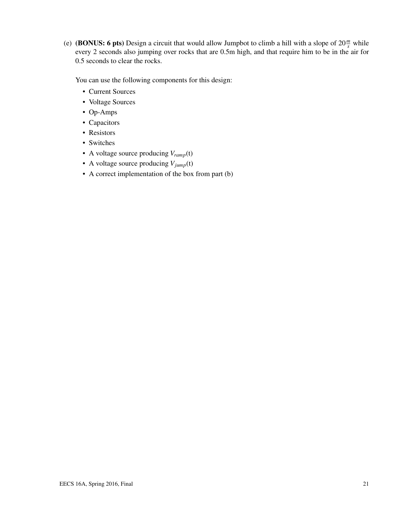(e) (**BONUS:** 6 pts) Design a circuit that would allow Jumpbot to climb a hill with a slope of  $20 \frac{m}{s}$  while every 2 seconds also jumping over rocks that are 0.5m high, and that require him to be in the air for 0.5 seconds to clear the rocks.

You can use the following components for this design:

- Current Sources
- Voltage Sources
- Op-Amps
- Capacitors
- Resistors
- Switches
- A voltage source producing *Vramp*(t)
- A voltage source producing  $V_{jump}(t)$
- A correct implementation of the box from part (b)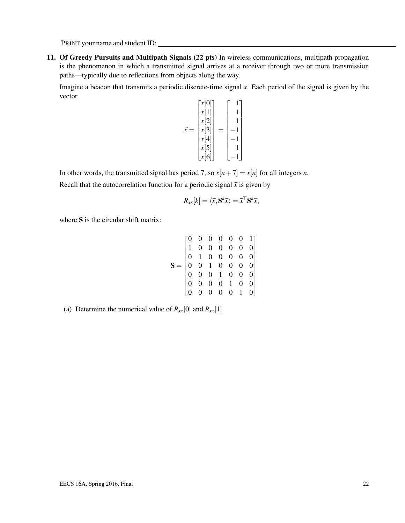PRINT your name and student ID:

11. Of Greedy Pursuits and Multipath Signals (22 pts) In wireless communications, multipath propagation is the phenomenon in which a transmitted signal arrives at a receiver through two or more transmission paths—typically due to reflections from objects along the way.

Imagine a beacon that transmits a periodic discrete-time signal *x*. Each period of the signal is given by the vector

$$
\vec{x} = \begin{bmatrix} x[0] \\ x[1] \\ x[2] \\ x[3] \\ x[4] \\ x[5] \\ x[6] \end{bmatrix} = \begin{bmatrix} 1 \\ 1 \\ 1 \\ -1 \\ -1 \\ -1 \\ -1 \end{bmatrix}
$$

In other words, the transmitted signal has period 7, so  $x[n+7] = x[n]$  for all integers *n*.

Recall that the autocorrelation function for a periodic signal  $\vec{x}$  is given by

$$
R_{xx}[k] = \langle \vec{x}, \mathbf{S}^k \vec{x} \rangle = \vec{x}^{\mathsf{T}} \mathbf{S}^k \vec{x},
$$

where S is the circular shift matrix:

$$
\mathbf{S} = \begin{bmatrix} 0 & 0 & 0 & 0 & 0 & 0 & 1 \\ 1 & 0 & 0 & 0 & 0 & 0 & 0 \\ 0 & 1 & 0 & 0 & 0 & 0 & 0 \\ 0 & 0 & 1 & 0 & 0 & 0 & 0 \\ 0 & 0 & 0 & 1 & 0 & 0 & 0 \\ 0 & 0 & 0 & 0 & 1 & 0 & 0 \\ 0 & 0 & 0 & 0 & 0 & 1 & 0 \end{bmatrix}
$$

(a) Determine the numerical value of  $R_{xx}[0]$  and  $R_{xx}[1]$ .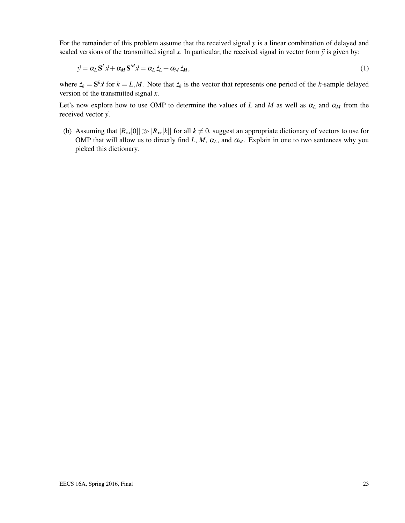For the remainder of this problem assume that the received signal *y* is a linear combination of delayed and scaled versions of the transmitted signal *x*. In particular, the received signal in vector form  $\vec{y}$  is given by:

$$
\vec{y} = \alpha_L \mathbf{S}^L \vec{x} + \alpha_M \mathbf{S}^M \vec{x} = \alpha_L \vec{z}_L + \alpha_M \vec{z}_M,\tag{1}
$$

where  $\vec{z}_k = \mathbf{S}^k \vec{x}$  for  $k = L, M$ . Note that  $\vec{z}_k$  is the vector that represents one period of the *k*-sample delayed version of the transmitted signal *x*.

Let's now explore how to use OMP to determine the values of *L* and *M* as well as  $\alpha_L$  and  $\alpha_M$  from the received vector  $\vec{y}$ .

(b) Assuming that  $|R_{xx}[0]| \gg |R_{xx}[k]|$  for all  $k \neq 0$ , suggest an appropriate dictionary of vectors to use for OMP that will allow us to directly find *L*, *M*,  $\alpha_L$ , and  $\alpha_M$ . Explain in one to two sentences why you picked this dictionary.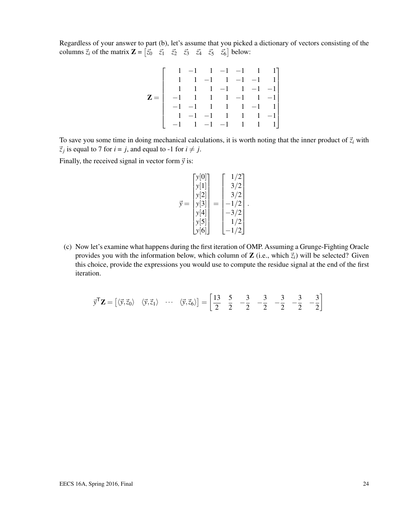Regardless of your answer to part (b), let's assume that you picked a dictionary of vectors consisting of the columns  $\vec{z}_i$  of the matrix  $\mathbf{Z} = \begin{bmatrix} \vec{z}_0 & \vec{z}_1 & \vec{z}_2 & \vec{z}_3 & \vec{z}_4 & \vec{z}_5 & \vec{z}_6 \end{bmatrix}$  below:

|                  |                       |  |  | $1 -1$ $1 -1$ $-1$ $1$ $1$ ]                           |
|------------------|-----------------------|--|--|--------------------------------------------------------|
|                  |                       |  |  | $1 -1$ $1 -1$ $-1$ $1$                                 |
|                  |                       |  |  | $1 \quad 1 \quad 1 \quad -1 \quad 1 \quad -1 \quad -1$ |
| $\mathbf{Z} =  $ |                       |  |  | $-1$ 1 1 1 -1 1 -1                                     |
|                  |                       |  |  | $-1$ $-1$ $1$ $1$ $1$ $-1$ $1$                         |
|                  | $1 -1 -1 1 1 1 -1 -1$ |  |  |                                                        |
|                  |                       |  |  | $-1$ 1 $-1$ $-1$ 1  1  1                               |

To save you some time in doing mechanical calculations, it is worth noting that the inner product of  $\vec{z}_i$  with  $\vec{z}_j$  is equal to 7 for  $i = j$ , and equal to -1 for  $i \neq j$ .

Finally, the received signal in vector form  $\vec{y}$  is:

$$
\vec{y} = \begin{bmatrix} y[0] \\ y[1] \\ y[2] \\ y[3] \\ y[4] \\ y[5] \\ y[6] \end{bmatrix} = \begin{bmatrix} 1/2 \\ 3/2 \\ 3/2 \\ -1/2 \\ -3/2 \\ 1/2 \\ -1/2 \end{bmatrix}.
$$

(c) Now let's examine what happens during the first iteration of OMP. Assuming a Grunge-Fighting Oracle provides you with the information below, which column of **Z** (i.e., which  $\vec{z}_i$ ) will be selected? Given this choice, provide the expressions you would use to compute the residue signal at the end of the first iteration.

$$
\vec{\mathbf{y}}^{\mathsf{T}}\mathbf{Z} = \begin{bmatrix} \langle \vec{\mathbf{y}}, \vec{\mathbf{z}}_0 \rangle & \langle \vec{\mathbf{y}}, \vec{\mathbf{z}}_1 \rangle & \cdots & \langle \vec{\mathbf{y}}, \vec{\mathbf{z}}_6 \rangle \end{bmatrix} = \begin{bmatrix} 13 & 5 & -3 & -3 & -3 & -3 & -3 \\ 2 & 2 & -2 & -2 & -3 & -3 \\ 2 & 2 & -2 & -2 & -3 & -3 \end{bmatrix}
$$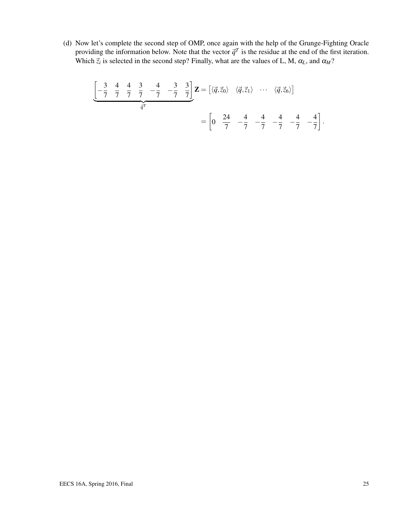(d) Now let's complete the second step of OMP, once again with the help of the Grunge-Fighting Oracle providing the information below. Note that the vector  $\vec{q}^T$  is the residue at the end of the first iteration. Which  $\vec{z}_i$  is selected in the second step? Finally, what are the values of L, M,  $\alpha_L$ , and  $\alpha_M$ ?

$$
\underbrace{\begin{bmatrix} -\frac{3}{7} & \frac{4}{7} & \frac{4}{7} & \frac{3}{7} & -\frac{4}{7} & -\frac{3}{7} & \frac{3}{7} \end{bmatrix}}_{\vec{q}^T} \mathbf{Z} = \begin{bmatrix} \langle \vec{q}, \vec{z}_0 \rangle & \langle \vec{q}, \vec{z}_1 \rangle & \cdots & \langle \vec{q}, \vec{z}_6 \rangle \end{bmatrix}
$$

$$
= \begin{bmatrix} 0 & \frac{24}{7} & -\frac{4}{7} & -\frac{4}{7} & -\frac{4}{7} & -\frac{4}{7} & -\frac{4}{7} \end{bmatrix}.
$$